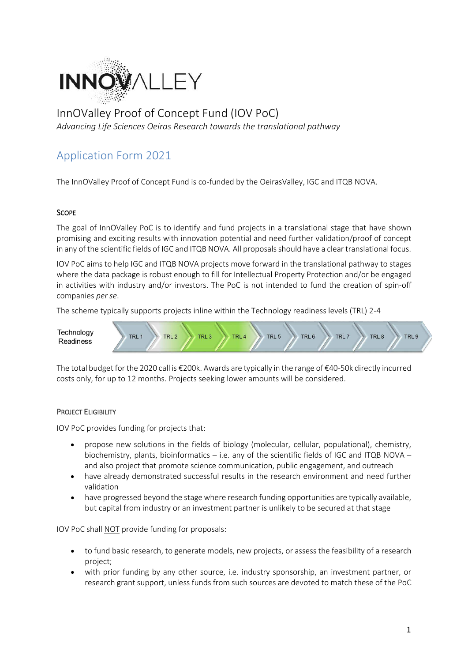

# InnOValley Proof of Concept Fund (IOV PoC)

*Advancing Life Sciences Oeiras Research towards the translational pathway*

## Application Form 2021

The InnOValley Proof of Concept Fund is co-funded by the OeirasValley, IGC and ITQB NOVA.

### **SCOPE**

The goal of InnOValley PoC is to identify and fund projects in a translational stage that have shown promising and exciting results with innovation potential and need further validation/proof of concept in any of the scientific fields of IGC and ITQB NOVA. All proposals should have a clear translational focus.

IOV PoC aims to help IGC and ITQB NOVA projects move forward in the translational pathway to stages where the data package is robust enough to fill for Intellectual Property Protection and/or be engaged in activities with industry and/or investors. The PoC is not intended to fund the creation of spin-off companies *per se*.

The scheme typically supports projects inline within the Technology readiness levels (TRL) 2-4



The total budget for the 2020 call is €200k. Awards are typically in the range of €40-50k directly incurred costs only, for up to 12 months. Projects seeking lower amounts will be considered.

### PROJECT ELIGIBILITY

IOV PoC provides funding for projects that:

- propose new solutions in the fields of biology (molecular, cellular, populational), chemistry, biochemistry, plants, bioinformatics – i.e. any of the scientific fields of IGC and ITQB NOVA – and also project that promote science communication, public engagement, and outreach
- have already demonstrated successful results in the research environment and need further validation
- have progressed beyond the stage where research funding opportunities are typically available, but capital from industry or an investment partner is unlikely to be secured at that stage

IOV PoC shall NOT provide funding for proposals:

- to fund basic research, to generate models, new projects, or assess the feasibility of a research project;
- with prior funding by any other source, i.e. industry sponsorship, an investment partner, or research grant support, unless funds from such sources are devoted to match these of the PoC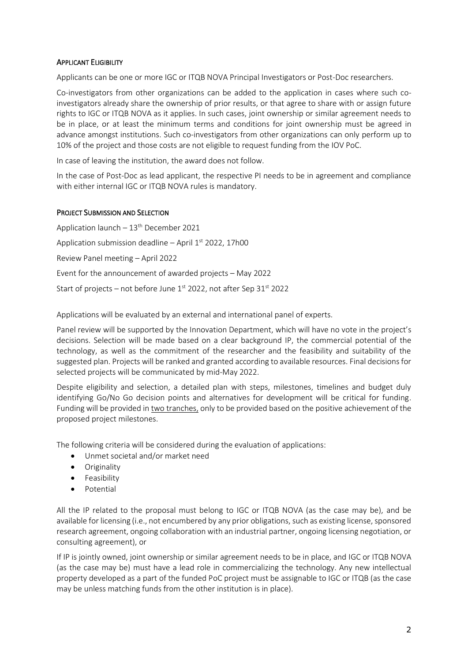#### APPLICANT ELIGIBILITY

Applicants can be one or more IGC or ITQB NOVA Principal Investigators or Post-Doc researchers.

Co-investigators from other organizations can be added to the application in cases where such coinvestigators already share the ownership of prior results, or that agree to share with or assign future rights to IGC or ITQB NOVA as it applies. In such cases, joint ownership or similar agreement needs to be in place, or at least the minimum terms and conditions for joint ownership must be agreed in advance amongst institutions. Such co-investigators from other organizations can only perform up to 10% of the project and those costs are not eligible to request funding from the IOV PoC.

In case of leaving the institution, the award does not follow.

In the case of Post-Doc as lead applicant, the respective PI needs to be in agreement and compliance with either internal IGC or ITQB NOVA rules is mandatory.

#### PROJECT SUBMISSION AND SELECTION

Application launch  $-13^{th}$  December 2021 Application submission deadline - April 1<sup>st</sup> 2022, 17h00 Review Panel meeting – April 2022 Event for the announcement of awarded projects – May 2022 Start of projects – not before June  $1<sup>st</sup>$  2022, not after Sep 3 $1<sup>st</sup>$  2022

Applications will be evaluated by an external and international panel of experts.

Panel review will be supported by the Innovation Department, which will have no vote in the project's decisions. Selection will be made based on a clear background IP, the commercial potential of the technology, as well as the commitment of the researcher and the feasibility and suitability of the suggested plan. Projects will be ranked and granted according to available resources. Final decisions for selected projects will be communicated by mid-May 2022.

Despite eligibility and selection, a detailed plan with steps, milestones, timelines and budget duly identifying Go/No Go decision points and alternatives for development will be critical for funding. Funding will be provided in two tranches, only to be provided based on the positive achievement of the proposed project milestones.

The following criteria will be considered during the evaluation of applications:

- Unmet societal and/or market need
- Originality
- Feasibility
- Potential

All the IP related to the proposal must belong to IGC or ITQB NOVA (as the case may be), and be available for licensing (i.e., not encumbered by any prior obligations, such as existing license, sponsored research agreement, ongoing collaboration with an industrial partner, ongoing licensing negotiation, or consulting agreement), or

If IP is jointly owned, joint ownership or similar agreement needs to be in place, and IGC or ITQB NOVA (as the case may be) must have a lead role in commercializing the technology. Any new intellectual property developed as a part of the funded PoC project must be assignable to IGC or ITQB (as the case may be unless matching funds from the other institution is in place).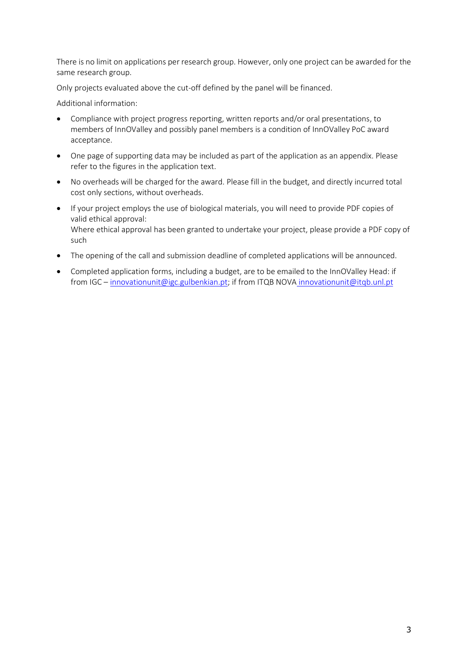There is no limit on applications per research group. However, only one project can be awarded for the same research group.

Only projects evaluated above the cut-off defined by the panel will be financed.

Additional information:

- Compliance with project progress reporting, written reports and/or oral presentations, to members of InnOValley and possibly panel members is a condition of InnOValley PoC award acceptance.
- One page of supporting data may be included as part of the application as an appendix. Please refer to the figures in the application text.
- No overheads will be charged for the award. Please fill in the budget, and directly incurred total cost only sections, without overheads.
- If your project employs the use of biological materials, you will need to provide PDF copies of valid ethical approval: Where ethical approval has been granted to undertake your project, please provide a PDF copy of such
- The opening of the call and submission deadline of completed applications will be announced.
- Completed application forms, including a budget, are to be emailed to the InnOValley Head: if from IGC – [innovationunit@igc.gulbenkian.pt;](mailto:innovationunit@igc.gulbenkian.pt) if from ITQB NOVA innovationunit@itqb.unl.pt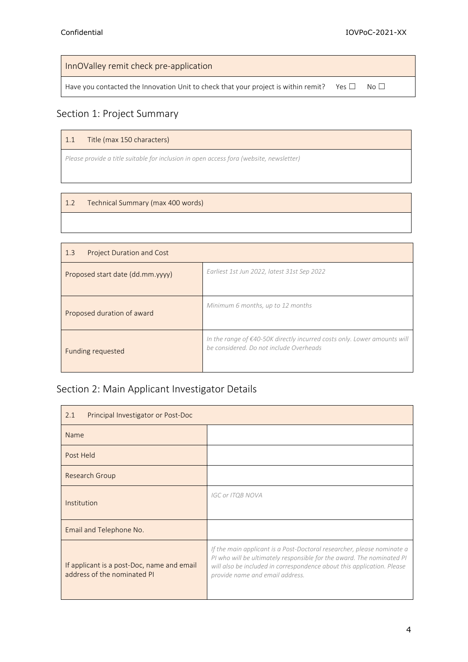InnOValley remit check pre-application

Have you contacted the Innovation Unit to check that your project is within remit? Yes  $\Box$  No  $\Box$ 

### Section 1: Project Summary

#### 1.1 Title (max 150 characters)

*Please provide a title suitable for inclusion in open access fora (website, newsletter)*

#### 1.2 Technical Summary (max 400 words)

| <b>Project Duration and Cost</b><br>1.3 |                                                                                                                     |
|-----------------------------------------|---------------------------------------------------------------------------------------------------------------------|
| Proposed start date (dd.mm.yyyy)        | Earliest 1st Jun 2022, latest 31st Sep 2022                                                                         |
| Proposed duration of award              | Minimum 6 months, up to 12 months                                                                                   |
| Funding requested                       | In the range of €40-50K directly incurred costs only. Lower amounts will<br>be considered. Do not include Overheads |

## Section 2: Main Applicant Investigator Details

| 2.1<br>Principal Investigator or Post-Doc                                 |                                                                                                                                                                                                                                                              |
|---------------------------------------------------------------------------|--------------------------------------------------------------------------------------------------------------------------------------------------------------------------------------------------------------------------------------------------------------|
| Name                                                                      |                                                                                                                                                                                                                                                              |
| Post Held                                                                 |                                                                                                                                                                                                                                                              |
| Research Group                                                            |                                                                                                                                                                                                                                                              |
| Institution                                                               | <b>IGC or ITQB NOVA</b>                                                                                                                                                                                                                                      |
| Email and Telephone No.                                                   |                                                                                                                                                                                                                                                              |
| If applicant is a post-Doc, name and email<br>address of the nominated PI | If the main applicant is a Post-Doctoral researcher, please nominate a<br>PI who will be ultimately responsible for the award. The nominated PI<br>will also be included in correspondence about this application. Please<br>provide name and email address. |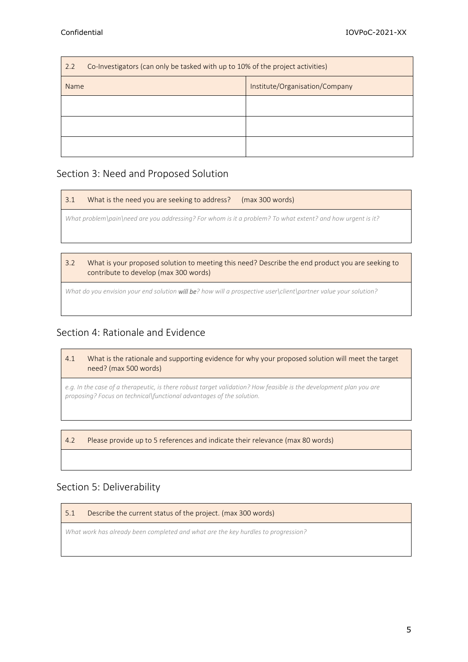| Co-Investigators (can only be tasked with up to 10% of the project activities)<br>2.2 |                                |  |  |  |
|---------------------------------------------------------------------------------------|--------------------------------|--|--|--|
| <b>Name</b>                                                                           | Institute/Organisation/Company |  |  |  |
|                                                                                       |                                |  |  |  |
|                                                                                       |                                |  |  |  |
|                                                                                       |                                |  |  |  |

### Section 3: Need and Proposed Solution

| 3.1                                                                                                        | What is the need you are seeking to address?<br>(max 300 words) |  |  |  |  |
|------------------------------------------------------------------------------------------------------------|-----------------------------------------------------------------|--|--|--|--|
| What problem\pain\need are you addressing? For whom is it a problem? To what extent? and how urgent is it? |                                                                 |  |  |  |  |
|                                                                                                            |                                                                 |  |  |  |  |

3.2 What is your proposed solution to meeting this need? Describe the end product you are seeking to contribute to develop (max 300 words)

*What do you envision your end solution will be? how will a prospective user\client\partner value your solution?* 

### Section 4: Rationale and Evidence

4.1 What is the rationale and supporting evidence for why your proposed solution will meet the target need? (max 500 words)

*e.g. In the case of a therapeutic, is there robust target validation? How feasible is the development plan you are proposing? Focus on technical\functional advantages of the solution.*

4.2 Please provide up to 5 references and indicate their relevance (max 80 words)

### Section 5: Deliverability

5.1 Describe the current status of the project. (max 300 words)

*What work has already been completed and what are the key hurdles to progression?*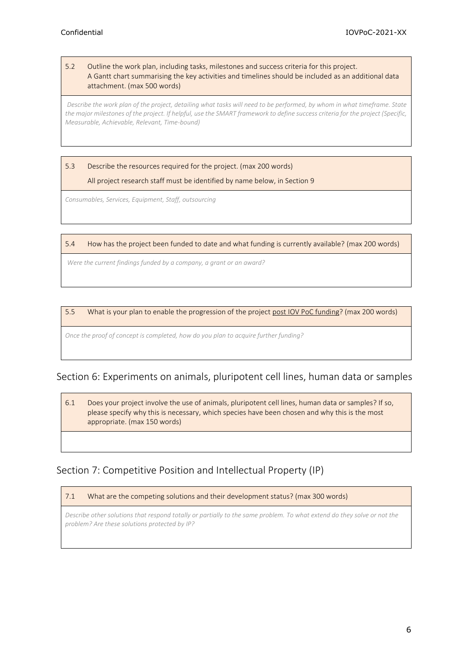#### 5.2 Outline the work plan, including tasks, milestones and success criteria for this project. A Gantt chart summarising the key activities and timelines should be included as an additional data attachment. (max 500 words)

*Describe the work plan of the project, detailing what tasks will need to be performed, by whom in what timeframe. State the major milestones of the project. If helpful, use the SMART framework to define success criteria for the project (Specific, Measurable, Achievable, Relevant, Time-bound)*

### 5.3 Describe the resources required for the project. (max 200 words) All project research staff must be identified by name below, in Section 9

*Consumables, Services, Equipment, Staff, outsourcing*

#### 5.4 How has the project been funded to date and what funding is currently available? (max 200 words)

*Were the current findings funded by a company, a grant or an award?*

#### 5.5 What is your plan to enable the progression of the project post IOV PoC funding? (max 200 words)

*Once the proof of concept is completed, how do you plan to acquire further funding?*

### Section 6: Experiments on animals, pluripotent cell lines, human data or samples

6.1 Does your project involve the use of animals, pluripotent cell lines, human data or samples? If so, please specify why this is necessary, which species have been chosen and why this is the most appropriate. (max 150 words)

### Section 7: Competitive Position and Intellectual Property (IP)

#### 7.1 What are the competing solutions and their development status? (max 300 words)

*Describe other solutions that respond totally or partially to the same problem. To what extend do they solve or not the problem? Are these solutions protected by IP?*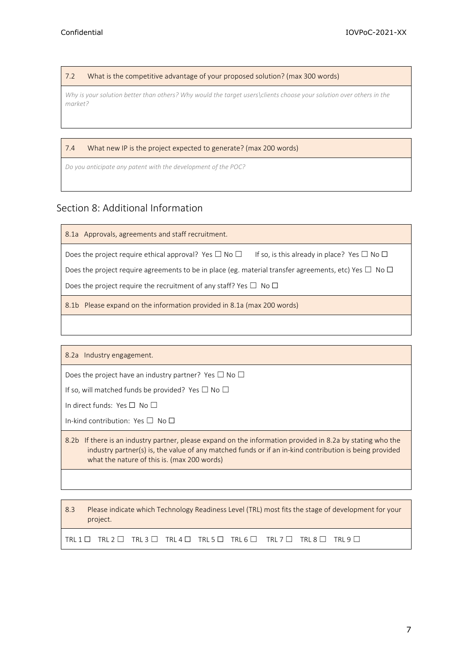7.2 What is the competitive advantage of your proposed solution? (max 300 words)

*Why is your solution better than others? Why would the target users\clients choose your solution over others in the market?*

#### 7.4 What new IP is the project expected to generate? (max 200 words)

*Do you anticipate any patent with the development of the POC?*

### Section 8: Additional Information

8.1a Approvals, agreements and staff recruitment.

Does the project require ethical approval? Yes  $\Box$  No  $\Box$  If so, is this already in place? Yes  $\Box$  No  $\Box$ 

Does the project require agreements to be in place (eg. material transfer agreements, etc) Yes  $\Box$  No  $\Box$ 

Does the project require the recruitment of any staff? Yes  $\Box$  No  $\Box$ 

8.1b Please expand on the information provided in 8.1a (max 200 words)

8.2a Industry engagement.

Does the project have an industry partner? Yes  $\Box$  No  $\Box$ 

If so, will matched funds be provided? Yes  $\Box$  No  $\Box$ 

In direct funds: Yes □ No □

In-kind contribution: Yes □ No □

8.2b If there is an industry partner, please expand on the information provided in 8.2a by stating who the industry partner(s) is, the value of any matched funds or if an in-kind contribution is being provided what the nature of this is. (max 200 words)

8.3 Please indicate which Technology Readiness Level (TRL) most fits the stage of development for your project.

TRL 1  $\Box$  TRL 2  $\Box$  TRL 3  $\Box$  TRL 4  $\Box$  TRL 5  $\Box$  TRL 6  $\Box$  TRL 7  $\Box$  TRL 8  $\Box$  TRL 9  $\Box$